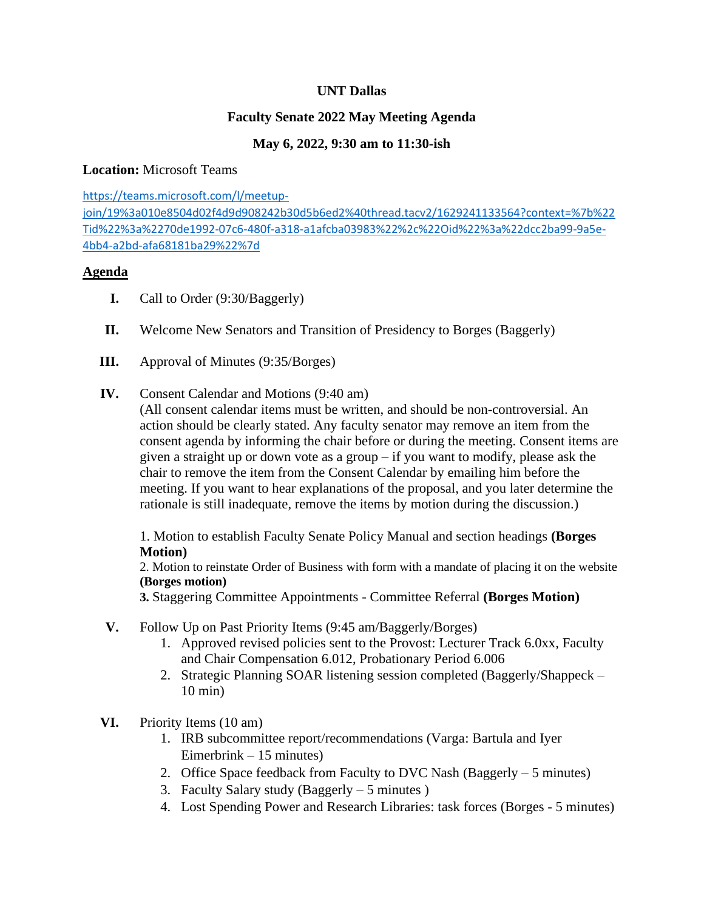# **UNT Dallas**

# **Faculty Senate 2022 May Meeting Agenda**

# **May 6, 2022, 9:30 am to 11:30-ish**

### **Location:** Microsoft Teams

[https://teams.microsoft.com/l/meetup](https://teams.microsoft.com/l/meetup-join/19%3a010e8504d02f4d9d908242b30d5b6ed2%40thread.tacv2/1629241133564?context=%7b%22Tid%22%3a%2270de1992-07c6-480f-a318-a1afcba03983%22%2c%22Oid%22%3a%22dcc2ba99-9a5e-4bb4-a2bd-afa68181ba29%22%7d)[join/19%3a010e8504d02f4d9d908242b30d5b6ed2%40thread.tacv2/1629241133564?context=%7b%22](https://teams.microsoft.com/l/meetup-join/19%3a010e8504d02f4d9d908242b30d5b6ed2%40thread.tacv2/1629241133564?context=%7b%22Tid%22%3a%2270de1992-07c6-480f-a318-a1afcba03983%22%2c%22Oid%22%3a%22dcc2ba99-9a5e-4bb4-a2bd-afa68181ba29%22%7d) [Tid%22%3a%2270de1992-07c6-480f-a318-a1afcba03983%22%2c%22Oid%22%3a%22dcc2ba99-9a5e-](https://teams.microsoft.com/l/meetup-join/19%3a010e8504d02f4d9d908242b30d5b6ed2%40thread.tacv2/1629241133564?context=%7b%22Tid%22%3a%2270de1992-07c6-480f-a318-a1afcba03983%22%2c%22Oid%22%3a%22dcc2ba99-9a5e-4bb4-a2bd-afa68181ba29%22%7d)[4bb4-a2bd-afa68181ba29%22%7d](https://teams.microsoft.com/l/meetup-join/19%3a010e8504d02f4d9d908242b30d5b6ed2%40thread.tacv2/1629241133564?context=%7b%22Tid%22%3a%2270de1992-07c6-480f-a318-a1afcba03983%22%2c%22Oid%22%3a%22dcc2ba99-9a5e-4bb4-a2bd-afa68181ba29%22%7d)

#### **Agenda**

- **I.** Call to Order (9:30/Baggerly)
- **II.** Welcome New Senators and Transition of Presidency to Borges (Baggerly)
- **III.** Approval of Minutes (9:35/Borges)
- **IV.** Consent Calendar and Motions (9:40 am)

(All consent calendar items must be written, and should be non-controversial. An action should be clearly stated. Any faculty senator may remove an item from the consent agenda by informing the chair before or during the meeting. Consent items are given a straight up or down vote as a group – if you want to modify, please ask the chair to remove the item from the Consent Calendar by emailing him before the meeting. If you want to hear explanations of the proposal, and you later determine the rationale is still inadequate, remove the items by motion during the discussion.)

1. Motion to establish Faculty Senate Policy Manual and section headings **(Borges Motion)**

2. Motion to reinstate Order of Business with form with a mandate of placing it on the website **(Borges motion)**

**3.** Staggering Committee Appointments - Committee Referral **(Borges Motion)**

- **V.** Follow Up on Past Priority Items (9:45 am/Baggerly/Borges)
	- 1. Approved revised policies sent to the Provost: Lecturer Track 6.0xx, Faculty and Chair Compensation 6.012, Probationary Period 6.006
	- 2. Strategic Planning SOAR listening session completed (Baggerly/Shappeck 10 min)
- **VI.** Priority Items (10 am)
	- 1. IRB subcommittee report/recommendations (Varga: Bartula and Iyer Eimerbrink – 15 minutes)
	- 2. Office Space feedback from Faculty to DVC Nash (Baggerly 5 minutes)
	- 3. Faculty Salary study (Baggerly 5 minutes )
	- 4. Lost Spending Power and Research Libraries: task forces (Borges 5 minutes)